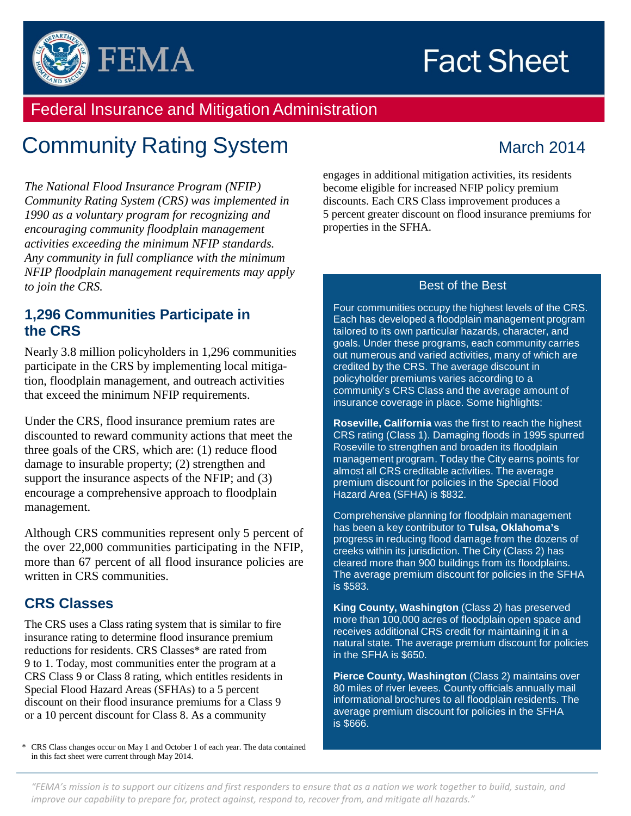# **Fact Sheet**



### Federal Insurance and Mitigation Administration

## **Community Rating System March 2014**

*The National Flood Insurance Program (NFIP) Community Rating System (CRS) was implemented in 1990 as a voluntary program for recognizing and encouraging community floodplain management activities exceeding the minimum NFIP standards. Any community in full compliance with the minimum NFIP floodplain management requirements may apply to join the CRS.*

#### **1,296 Communities Participate in the CRS**

Nearly 3.8 million policyholders in 1,296 communities participate in the CRS by implementing local mitigation, floodplain management, and outreach activities that exceed the minimum NFIP requirements.

Under the CRS, flood insurance premium rates are discounted to reward community actions that meet the three goals of the CRS, which are: (1) reduce flood damage to insurable property; (2) strengthen and support the insurance aspects of the NFIP; and (3) encourage a comprehensive approach to floodplain management.

Although CRS communities represent only 5 percent of the over 22,000 communities participating in the NFIP, more than 67 percent of all flood insurance policies are written in CRS communities.

#### **CRS Classes**

The CRS uses a Class rating system that is similar to fire insurance rating to determine flood insurance premium reductions for residents. CRS Classes\* are rated from 9 to 1. Today, most communities enter the program at a CRS Class 9 or Class 8 rating, which entitles residents in Special Flood Hazard Areas (SFHAs) to a 5 percent discount on their flood insurance premiums for a Class 9 or a 10 percent discount for Class 8. As a community

\* CRS Class changes occur on May 1 and October 1 of each year. The data contained in this fact sheet were current through May 2014.

engages in additional mitigation activities, its residents become eligible for increased NFIP policy premium discounts. Each CRS Class improvement produces a 5 percent greater discount on flood insurance premiums for properties in the SFHA.

#### Best of the Best

Four communities occupy the highest levels of the CRS. Each has developed a floodplain management program tailored to its own particular hazards, character, and goals. Under these programs, each community carries out numerous and varied activities, many of which are credited by the CRS. The average discount in policyholder premiums varies according to a community's CRS Class and the average amount of insurance coverage in place. Some highlights:

**Roseville, California** was the first to reach the highest CRS rating (Class 1). Damaging floods in 1995 spurred Roseville to strengthen and broaden its floodplain management program. Today the City earns points for almost all CRS creditable activities. The average premium discount for policies in the Special Flood Hazard Area (SFHA) is \$832.

Comprehensive planning for floodplain management has been a key contributor to **Tulsa, Oklahoma's**  progress in reducing flood damage from the dozens of creeks within its jurisdiction. The City (Class 2) has cleared more than 900 buildings from its floodplains. The average premium discount for policies in the SFHA is \$583.

**King County, Washington** (Class 2) has preserved more than 100,000 acres of floodplain open space and receives additional CRS credit for maintaining it in a natural state. The average premium discount for policies in the SFHA is \$650.

**Pierce County, Washington** (Class 2) maintains over 80 miles of river levees. County officials annually mail informational brochures to all floodplain residents. The average premium discount for policies in the SFHA is \$666.

*"FEMA's mission is to support our citizens and first responders to ensure that as a nation we work together to build, sustain, and improve our capability to prepare for, protect against, respond to, recover from, and mitigate all hazards."*